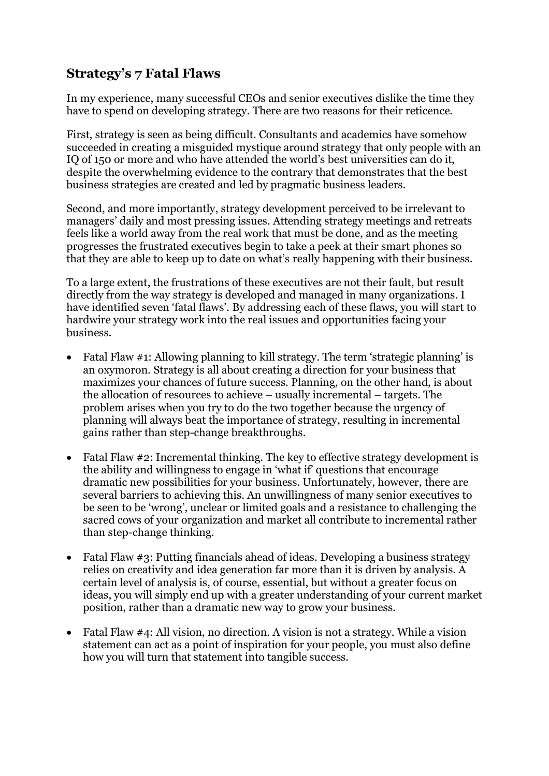## **Strategy's 7 Fatal Flaws**

In my experience, many successful CEOs and senior executives dislike the time they have to spend on developing strategy. There are two reasons for their reticence.

First, strategy is seen as being difficult. Consultants and academics have somehow succeeded in creating a misguided mystique around strategy that only people with an IQ of 150 or more and who have attended the world's best universities can do it, despite the overwhelming evidence to the contrary that demonstrates that the best business strategies are created and led by pragmatic business leaders.

Second, and more importantly, strategy development perceived to be irrelevant to managers' daily and most pressing issues. Attending strategy meetings and retreats feels like a world away from the real work that must be done, and as the meeting progresses the frustrated executives begin to take a peek at their smart phones so that they are able to keep up to date on what's really happening with their business.

To a large extent, the frustrations of these executives are not their fault, but result directly from the way strategy is developed and managed in many organizations. I have identified seven 'fatal flaws'. By addressing each of these flaws, you will start to hardwire your strategy work into the real issues and opportunities facing your business.

- Fatal Flaw #1: Allowing planning to kill strategy. The term 'strategic planning' is an oxymoron. Strategy is all about creating a direction for your business that maximizes your chances of future success. Planning, on the other hand, is about the allocation of resources to achieve – usually incremental – targets. The problem arises when you try to do the two together because the urgency of planning will always beat the importance of strategy, resulting in incremental gains rather than step-change breakthroughs.
- Fatal Flaw #2: Incremental thinking. The key to effective strategy development is the ability and willingness to engage in 'what if' questions that encourage dramatic new possibilities for your business. Unfortunately, however, there are several barriers to achieving this. An unwillingness of many senior executives to be seen to be 'wrong', unclear or limited goals and a resistance to challenging the sacred cows of your organization and market all contribute to incremental rather than step-change thinking.
- Fatal Flaw #3: Putting financials ahead of ideas. Developing a business strategy relies on creativity and idea generation far more than it is driven by analysis. A certain level of analysis is, of course, essential, but without a greater focus on ideas, you will simply end up with a greater understanding of your current market position, rather than a dramatic new way to grow your business.
- Fatal Flaw #4: All vision, no direction. A vision is not a strategy. While a vision statement can act as a point of inspiration for your people, you must also define how you will turn that statement into tangible success.